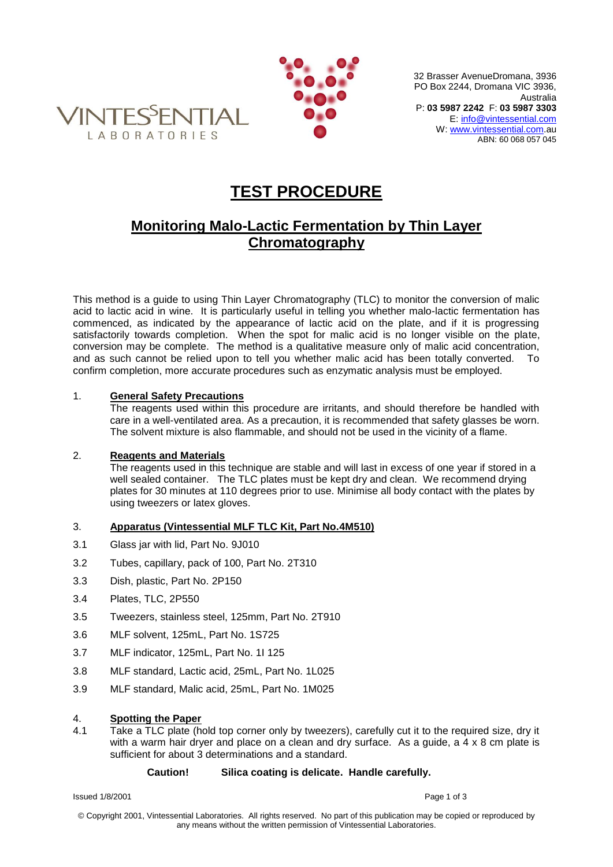



32 Brasser AvenueDromana, 3936 PO Box 2244, Dromana VIC 3936, Australia P: **03 5987 2242** F: **03 5987 3303** E[: info@vintessential.com](mailto:info@vintessential.com) W: [www.vintessential.com.](http://www.vintessential.com/)au ABN: 60 068 057 045

# **TEST PROCEDURE**

# **Monitoring Malo-Lactic Fermentation by Thin Layer Chromatography**

This method is a guide to using Thin Layer Chromatography (TLC) to monitor the conversion of malic acid to lactic acid in wine. It is particularly useful in telling you whether malo-lactic fermentation has commenced, as indicated by the appearance of lactic acid on the plate, and if it is progressing satisfactorily towards completion. When the spot for malic acid is no longer visible on the plate. conversion may be complete. The method is a qualitative measure only of malic acid concentration, and as such cannot be relied upon to tell you whether malic acid has been totally converted. confirm completion, more accurate procedures such as enzymatic analysis must be employed.

### 1. **General Safety Precautions**

The reagents used within this procedure are irritants, and should therefore be handled with care in a well-ventilated area. As a precaution, it is recommended that safety glasses be worn. The solvent mixture is also flammable, and should not be used in the vicinity of a flame.

#### 2. **Reagents and Materials**

The reagents used in this technique are stable and will last in excess of one year if stored in a well sealed container. The TLC plates must be kept dry and clean. We recommend drying plates for 30 minutes at 110 degrees prior to use. Minimise all body contact with the plates by using tweezers or latex gloves.

## 3. **Apparatus (Vintessential MLF TLC Kit, Part No.4M510)**

- 3.1 Glass jar with lid, Part No. 9J010
- 3.2 Tubes, capillary, pack of 100, Part No. 2T310
- 3.3 Dish, plastic, Part No. 2P150
- 3.4 Plates, TLC, 2P550
- 3.5 Tweezers, stainless steel, 125mm, Part No. 2T910
- 3.6 MLF solvent, 125mL, Part No. 1S725
- 3.7 MLF indicator, 125mL, Part No. 1I 125
- 3.8 MLF standard, Lactic acid, 25mL, Part No. 1L025
- 3.9 MLF standard, Malic acid, 25mL, Part No. 1M025

#### 4. **Spotting the Paper**

4.1 Take a TLC plate (hold top corner only by tweezers), carefully cut it to the required size, dry it with a warm hair dryer and place on a clean and dry surface. As a quide, a 4 x 8 cm plate is sufficient for about 3 determinations and a standard.

#### **Caution! Silica coating is delicate. Handle carefully.**

Issued 1/8/2001 Page 1 of 3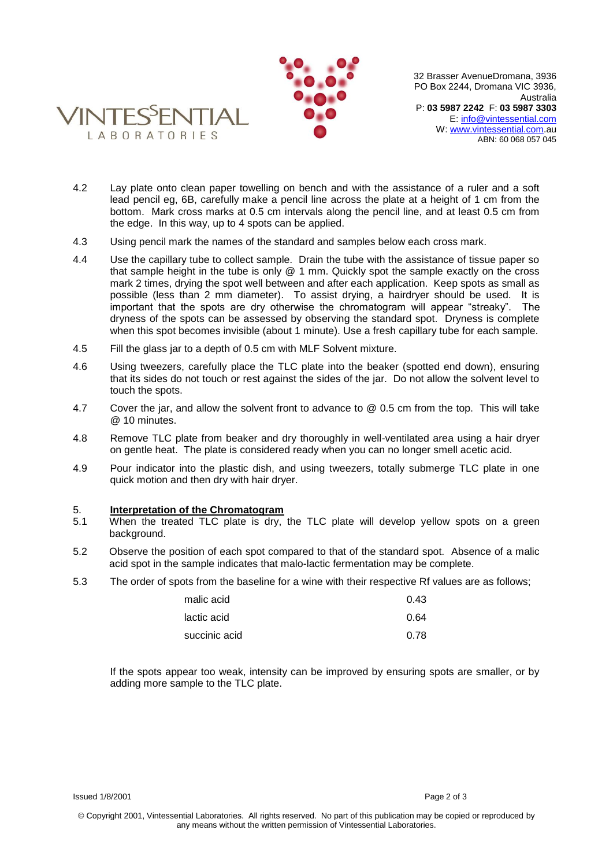



32 Brasser AvenueDromana, 3936 PO Box 2244, Dromana VIC 3936, Australia P: **03 5987 2242** F: **03 5987 3303** E[: info@vintessential.com](mailto:info@vintessential.com) W: [www.vintessential.com.](http://www.vintessential.com/)au ABN: 60 068 057 045

- 4.2 Lay plate onto clean paper towelling on bench and with the assistance of a ruler and a soft lead pencil eg, 6B, carefully make a pencil line across the plate at a height of 1 cm from the bottom. Mark cross marks at 0.5 cm intervals along the pencil line, and at least 0.5 cm from the edge. In this way, up to 4 spots can be applied.
- 4.3 Using pencil mark the names of the standard and samples below each cross mark.
- 4.4 Use the capillary tube to collect sample. Drain the tube with the assistance of tissue paper so that sample height in the tube is only @ 1 mm. Quickly spot the sample exactly on the cross mark 2 times, drying the spot well between and after each application. Keep spots as small as possible (less than 2 mm diameter). To assist drying, a hairdryer should be used. It is important that the spots are dry otherwise the chromatogram will appear "streaky". The dryness of the spots can be assessed by observing the standard spot. Dryness is complete when this spot becomes invisible (about 1 minute). Use a fresh capillary tube for each sample.
- 4.5 Fill the glass jar to a depth of 0.5 cm with MLF Solvent mixture.
- 4.6 Using tweezers, carefully place the TLC plate into the beaker (spotted end down), ensuring that its sides do not touch or rest against the sides of the jar. Do not allow the solvent level to touch the spots.
- 4.7 Cover the jar, and allow the solvent front to advance to @ 0.5 cm from the top. This will take @ 10 minutes.
- 4.8 Remove TLC plate from beaker and dry thoroughly in well-ventilated area using a hair dryer on gentle heat. The plate is considered ready when you can no longer smell acetic acid.
- 4.9 Pour indicator into the plastic dish, and using tweezers, totally submerge TLC plate in one quick motion and then dry with hair dryer.

#### 5. **Interpretation of the Chromatogram**

- 5.1 When the treated TLC plate is dry, the TLC plate will develop yellow spots on a green background.
- 5.2 Observe the position of each spot compared to that of the standard spot. Absence of a malic acid spot in the sample indicates that malo-lactic fermentation may be complete.
- 5.3 The order of spots from the baseline for a wine with their respective Rf values are as follows;

| malic acid    | 0.43 |
|---------------|------|
| lactic acid   | 0.64 |
| succinic acid | 0.78 |

If the spots appear too weak, intensity can be improved by ensuring spots are smaller, or by adding more sample to the TLC plate.

Issued 1/8/2001 Page 2 of 3